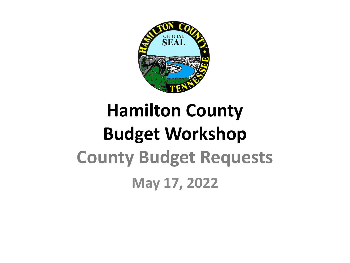

### **Hamilton County Budget Workshop County Budget Requests May 17, 2022**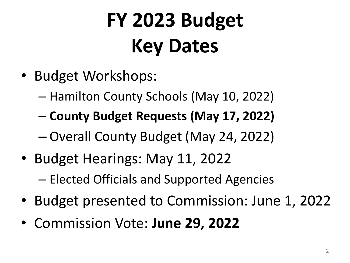# **FY 2023 Budget Key Dates**

- Budget Workshops:
	- Hamilton County Schools (May 10, 2022)
	- **County Budget Requests (May 17, 2022)**
	- Overall County Budget (May 24, 2022)
- Budget Hearings: May 11, 2022
	- Elected Officials and Supported Agencies
- Budget presented to Commission: June 1, 2022
- Commission Vote: **June 29, 2022**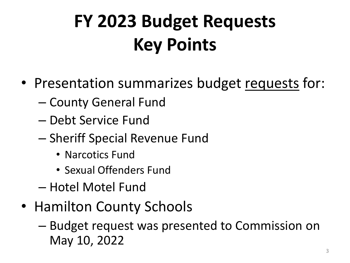### **FY 2023 Budget Requests Key Points**

- Presentation summarizes budget requests for:
	- County General Fund
	- Debt Service Fund
	- Sheriff Special Revenue Fund
		- Narcotics Fund
		- Sexual Offenders Fund
	- Hotel Motel Fund
- Hamilton County Schools
	- Budget request was presented to Commission on May 10, 2022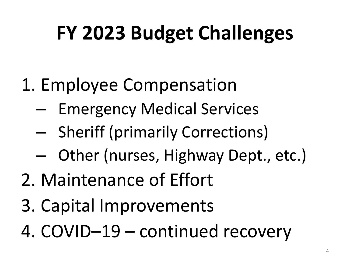# **FY 2023 Budget Challenges**

- 1. Employee Compensation
	- Emergency Medical Services
	- Sheriff (primarily Corrections)
	- Other (nurses, Highway Dept., etc.)
- 2. Maintenance of Effort
- 3. Capital Improvements
- 4. COVID–19 continued recovery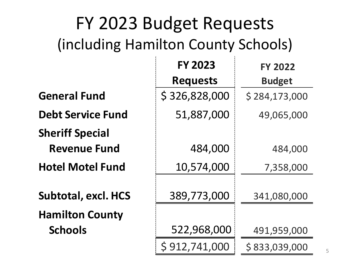### FY 2023 Budget Requests (including Hamilton County Schools)

|                            | <b>FY 2023</b>  | <b>FY 2022</b> |
|----------------------------|-----------------|----------------|
|                            | <b>Requests</b> | <b>Budget</b>  |
| <b>General Fund</b>        | \$326,828,000   | \$284,173,000  |
| <b>Debt Service Fund</b>   | 51,887,000      | 49,065,000     |
| <b>Sheriff Special</b>     |                 |                |
| <b>Revenue Fund</b>        | 484,000         | 484,000        |
| <b>Hotel Motel Fund</b>    | 10,574,000      | 7,358,000      |
| <b>Subtotal, excl. HCS</b> | 389,773,000     | 341,080,000    |
| <b>Hamilton County</b>     |                 |                |
| <b>Schools</b>             | 522,968,000     | 491,959,000    |
|                            | \$912,741,000   | \$833,039,000  |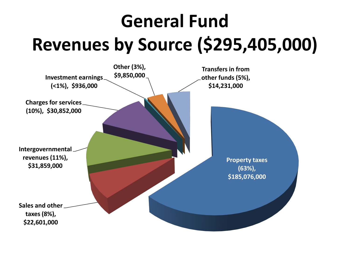### **General Fund Revenues by Source (\$295,405,000)**

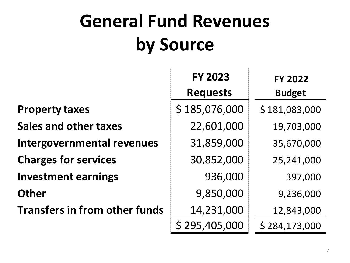### **General Fund Revenues by Source**

|                                      | <b>FY 2023</b><br><b>Requests</b> | <b>FY 2022</b><br><b>Budget</b> |
|--------------------------------------|-----------------------------------|---------------------------------|
|                                      |                                   |                                 |
| <b>Property taxes</b>                | \$185,076,000                     | \$181,083,000                   |
| <b>Sales and other taxes</b>         | 22,601,000                        | 19,703,000                      |
| <b>Intergovernmental revenues</b>    | 31,859,000                        | 35,670,000                      |
| <b>Charges for services</b>          | 30,852,000                        | 25,241,000                      |
| <b>Investment earnings</b>           | 936,000                           | 397,000                         |
| <b>Other</b>                         | 9,850,000                         | 9,236,000                       |
| <b>Transfers in from other funds</b> | 14,231,000                        | 12,843,000                      |
|                                      | 295,405,000                       | \$284,173,000                   |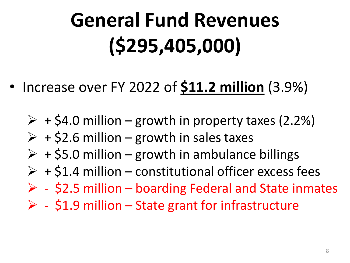# **General Fund Revenues (\$295,405,000)**

- Increase over FY 2022 of **\$11.2 million** (3.9%)
	- $\triangleright$  + \$4.0 million growth in property taxes (2.2%)
	- $\triangleright$  + \$2.6 million growth in sales taxes
	- $\triangleright$  + \$5.0 million growth in ambulance billings
	- $\triangleright$  + \$1.4 million constitutional officer excess fees
	- $\triangleright$  \$2.5 million boarding Federal and State inmates
	- $\triangleright$  \$1.9 million State grant for infrastructure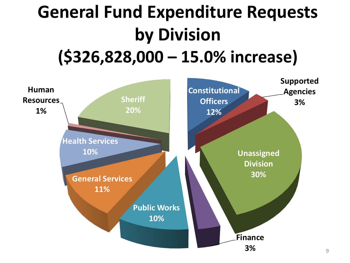### **General Fund Expenditure Requests by Division (\$326,828,000 – 15.0% increase)**

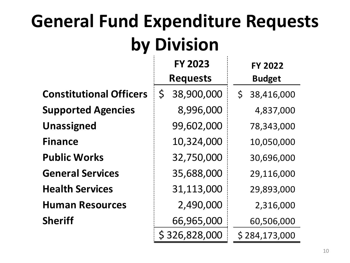### **General Fund Expenditure Requests by Division**

|                                | <b>FY 2023</b>             | <b>FY 2022</b>             |
|--------------------------------|----------------------------|----------------------------|
|                                | <b>Requests</b>            | <b>Budget</b>              |
| <b>Constitutional Officers</b> | 38,900,000<br>$\mathsf{S}$ | 38,416,000<br>$\mathsf{S}$ |
| <b>Supported Agencies</b>      | 8,996,000                  | 4,837,000                  |
| <b>Unassigned</b>              | 99,602,000                 | 78,343,000                 |
| <b>Finance</b>                 | 10,324,000                 | 10,050,000                 |
| <b>Public Works</b>            | 32,750,000                 | 30,696,000                 |
| <b>General Services</b>        | 35,688,000                 | 29,116,000                 |
| <b>Health Services</b>         | 31,113,000                 | 29,893,000                 |
| <b>Human Resources</b>         | 2,490,000                  | 2,316,000                  |
| <b>Sheriff</b>                 | 66,965,000                 | 60,506,000                 |
|                                | \$326,828,000              | \$284,173,000              |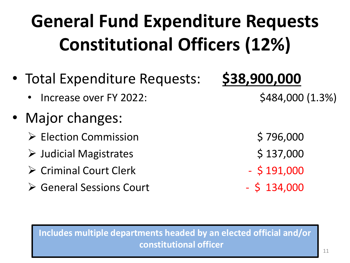### **General Fund Expenditure Requests Constitutional Officers (12%)**

- Total Expenditure Requests: **\$38,900,000**
	- Increase over FY 2022: \$484,000 (1.3%)
- Major changes:
	- → Election Commission \$796,000
	- → Judicial Magistrates \$ 137,000
	- $\triangleright$  Criminal Court Clerk  $\triangleright$  \$191,000
	- $\triangleright$  General Sessions Court  $\cdot$  5 134,000

- 
- 
- 
- 

**Includes multiple departments headed by an elected official and/or constitutional officer**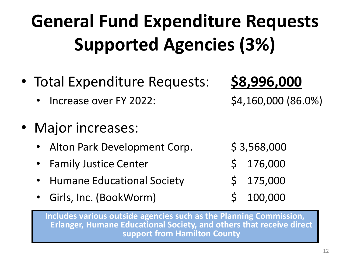### **General Fund Expenditure Requests Supported Agencies (3%)**

- Total Expenditure Requests: **\$8,996,000**
	- Increase over FY 2022: \$4,160,000 (86.0%)
- Major increases:
	- Alton Park Development Corp.  $\frac{1}{5}$  3,568,000
	- Family Justice Center  $\lesssim 176,000$
	- Humane Educational Society \$ 175,000
	- Girls, Inc. (BookWorm) \$ 100,000

- 
- 
- -

**Includes various outside agencies such as the Planning Commission, Erlanger, Humane Educational Society, and others that receive direct support from Hamilton County**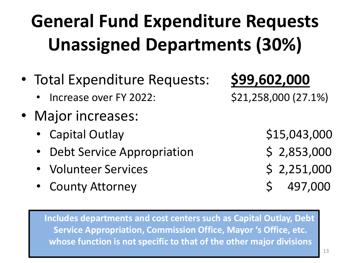### **General Fund Expenditure Requests Unassigned Departments (30%)**

- Total Expenditure Requests: **\$99,602,000**
	- Increase over FY 2022: \$21,258,000 (27.1%)
- Major increases:
	- Capital Outlay \$15,043,000
	- Debt Service Appropriation \$ 2,853,000
	- Volunteer Services 6 2,251,000
	- County Attorney \$ 497,000

**Includes departments and cost centers such as Capital Outlay, Debt Service Appropriation, Commission Office, Mayor 's Office, etc. whose function is not specific to that of the other major divisions**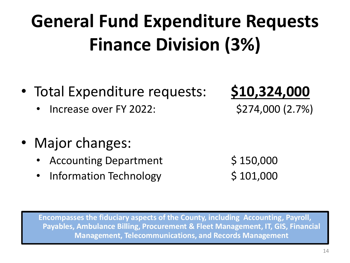### **General Fund Expenditure Requests Finance Division (3%)**

- Total Expenditure requests: **\$10,324,000**
	- Increase over FY 2022: \$274,000 (2.7%)
- Major changes:
	- Accounting Department  $\begin{array}{c} \xi \neq 150,000 \end{array}$
	- Information Technology  $$101,000$

**Encompasses the fiduciary aspects of the County, including Accounting, Payroll, Payables, Ambulance Billing, Procurement & Fleet Management, IT, GIS, Financial Management, Telecommunications, and Records Management**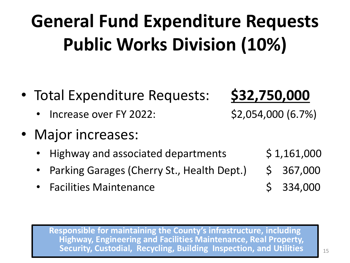### **General Fund Expenditure Requests Public Works Division (10%)**

- Total Expenditure Requests: **\$32,750,000**
	- Increase over FY 2022: \$2,054,000 (6.7%)
- Major increases:
	- Highway and associated departments  $\qquad$  \$ 1,161,000
	- Parking Garages (Cherry St., Health Dept.)  $\leq$  367,000
	- Facilities Maintenance  $\angle$  \$ 334,000

- 
- 
- 

**Responsible for maintaining the County's infrastructure, including Highway, Engineering and Facilities Maintenance, Real Property, Security, Custodial, Recycling, Building Inspection, and Utilities**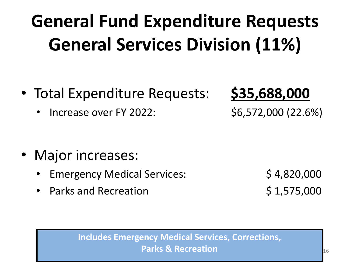### **General Fund Expenditure Requests General Services Division (11%)**

- Total Expenditure Requests: **\$35,688,000**
	- Increase over FY 2022: \$6,572,000 (22.6%)

- Major increases:
	- Emergency Medical Services: \$ 4,820,000
	- Parks and Recreation  $\zeta$  1,575,000

#### **Includes Emergency Medical Services, Corrections, Parks & Recreation**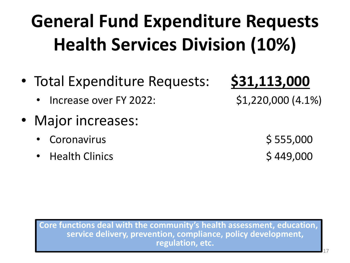### **General Fund Expenditure Requests Health Services Division (10%)**

- Total Expenditure Requests: **\$31,113,000**
	- Increase over FY 2022: \$1,220,000 (4.1%)
- Major increases:
	- extending to the coronavirus to the set of the set of  $\sim$  555,000  $\pm$  555,000
	- eralth Clinics and the settlement of the settlement of the settlement of the settlement of the settlement of the set of the set of the set of the set of the set of the set of the set of the set of the set of the set of the

**Core functions deal with the community's health assessment, education, service delivery, prevention, compliance, policy development, regulation, etc.**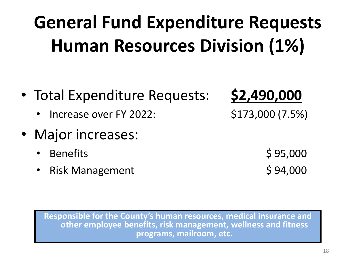18

### **General Fund Expenditure Requests Human Resources Division (1%)**

- Total Expenditure Requests: **\$2,490,000**
	- Increase over FY 2022: \$173,000 (7.5%)
- Major increases:
	-
	- Risk Management \$94,000

 $\beta$  Benefits  $\beta$  95,000

**Responsible for the County's human resources, medical insurance and other employee benefits, risk management, wellness and fitness programs, mailroom, etc.**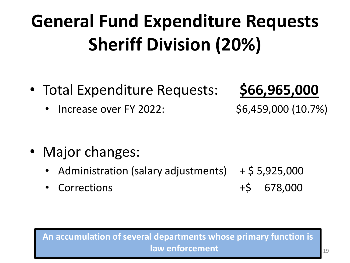### **General Fund Expenditure Requests Sheriff Division (20%)**

• Total Expenditure Requests: **\$66,965,000**

• Increase over FY 2022: \$6,459,000 (10.7%)

- Major changes:
	- Administration (salary adjustments)  $+$  \$ 5,925,000
	- Corrections +\$ 678,000

#### **An accumulation of several departments whose primary function is law enforcement**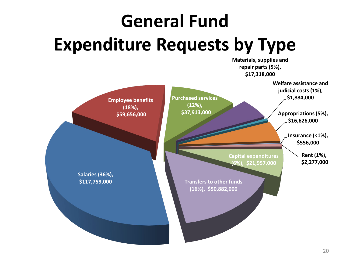## **General Fund Expenditure Requests by Type**

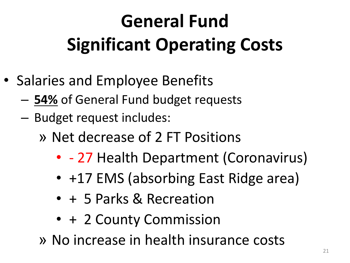## **General Fund Significant Operating Costs**

- Salaries and Employee Benefits
	- **54%** of General Fund budget requests
	- Budget request includes:
		- » Net decrease of 2 FT Positions
			- - 27 Health Department (Coronavirus)
			- +17 EMS (absorbing East Ridge area)
			- + 5 Parks & Recreation
			- + 2 County Commission
		- » No increase in health insurance costs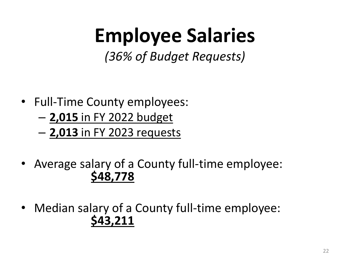### **Employee Salaries**

*(36% of Budget Requests)*

- Full-Time County employees:
	- **2,015** in FY 2022 budget
	- **2,013** in FY 2023 requests
- Average salary of a County full-time employee: **\$48,778**
- Median salary of a County full-time employee: **\$43,211**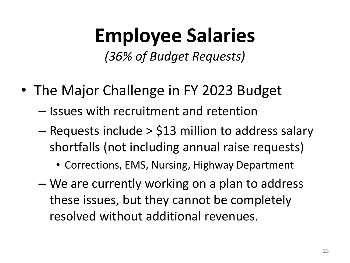### **Employee Salaries**

*(36% of Budget Requests)*

- The Major Challenge in FY 2023 Budget
	- Issues with recruitment and retention
	- Requests include > \$13 million to address salary shortfalls (not including annual raise requests)
		- Corrections, EMS, Nursing, Highway Department
	- We are currently working on a plan to address these issues, but they cannot be completely resolved without additional revenues.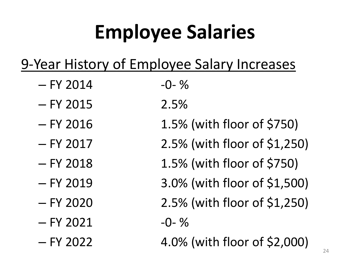# **Employee Salaries**

### 9-Year History of Employee Salary Increases

- $-$  FY 2014  $-$ 0- %
- $-$  FY 2015 2.5%
- 
- 
- 
- 
- 
- $-$  FY 2021  $-$ 0- %
- 
- 
- FY 2016 1.5% (with floor of \$750)
- FY 2017 2.5% (with floor of \$1,250)
- FY 2018 1.5% (with floor of \$750)
- FY 2019 3.0% (with floor of \$1,500)
- $-$  FY 2020 2.5% (with floor of \$1,250)
	-
- FY 2022 4.0% (with floor of \$2,000)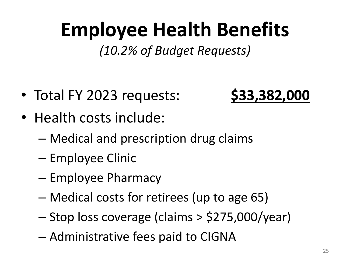### **Employee Health Benefits**

*(10.2% of Budget Requests)*

- Total FY 2023 requests: **\$33,382,000**
- Health costs include:
	- Medical and prescription drug claims
	- Employee Clinic
	- Employee Pharmacy
	- Medical costs for retirees (up to age 65)
	- Stop loss coverage (claims > \$275,000/year)
	- Administrative fees paid to CIGNA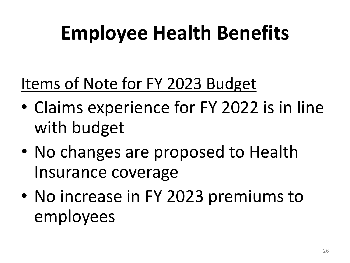# **Employee Health Benefits**

### Items of Note for FY 2023 Budget

- Claims experience for FY 2022 is in line with budget
- No changes are proposed to Health Insurance coverage
- No increase in FY 2023 premiums to employees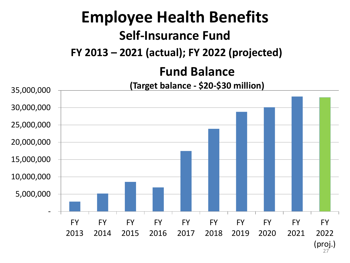### **Employee Health Benefits Self-Insurance Fund FY 2013 – 2021 (actual); FY 2022 (projected)**

### **Fund Balance**

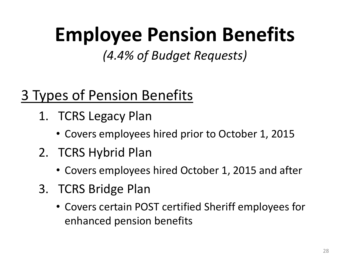### **Employee Pension Benefits**

*(4.4% of Budget Requests)*

### 3 Types of Pension Benefits

- 1. TCRS Legacy Plan
	- Covers employees hired prior to October 1, 2015
- 2. TCRS Hybrid Plan
	- Covers employees hired October 1, 2015 and after
- 3. TCRS Bridge Plan
	- Covers certain POST certified Sheriff employees for enhanced pension benefits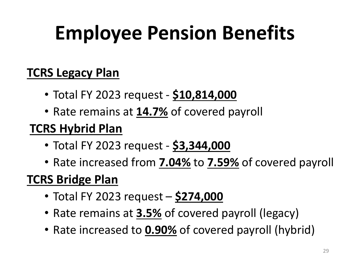# **Employee Pension Benefits**

#### **TCRS Legacy Plan**

- Total FY 2023 request **\$10,814,000**
- Rate remains at **14.7%** of covered payroll

### **TCRS Hybrid Plan**

- Total FY 2023 request **\$3,344,000**
- Rate increased from **7.04%** to **7.59%** of covered payroll

### **TCRS Bridge Plan**

- Total FY 2023 request **\$274,000**
- Rate remains at **3.5%** of covered payroll (legacy)
- Rate increased to **0.90%** of covered payroll (hybrid)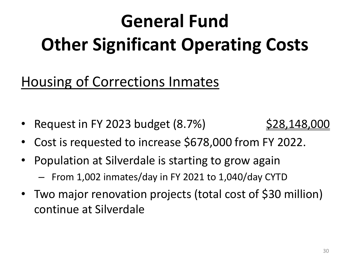# **General Fund Other Significant Operating Costs**

### Housing of Corrections Inmates

• Request in FY 2023 budget  $(8.7%)$   $$28,148,000$ 



- Cost is requested to increase \$678,000 from FY 2022.
- Population at Silverdale is starting to grow again
	- From 1,002 inmates/day in FY 2021 to 1,040/day CYTD
- Two major renovation projects (total cost of \$30 million) continue at Silverdale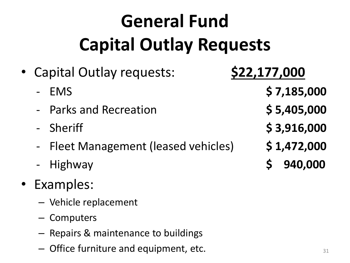## **General Fund Capital Outlay Requests**

- Capital Outlay requests: **\$22,177,000** 
	-
	- Parks and Recreation **\$ 5,405,000**
	-
	- Fleet Management (leased vehicles) **\$ 1,472,000**
	-
- Examples:
	- Vehicle replacement
	- Computers
	- Repairs & maintenance to buildings
	- $-$  Office furniture and equipment, etc.  $\qquad \qquad _{31}$
- 
- EMS **\$ 7,185,000**
	-
- Sheriff **\$ 3,916,000**
	-
- Highway **\$ 940,000**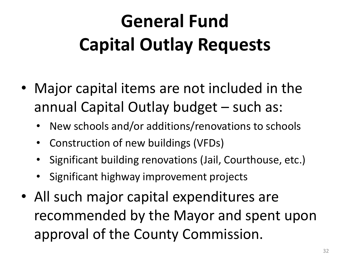### **General Fund Capital Outlay Requests**

- Major capital items are not included in the annual Capital Outlay budget – such as:
	- New schools and/or additions/renovations to schools
	- Construction of new buildings (VFDs)
	- Significant building renovations (Jail, Courthouse, etc.)
	- Significant highway improvement projects
- All such major capital expenditures are recommended by the Mayor and spent upon approval of the County Commission.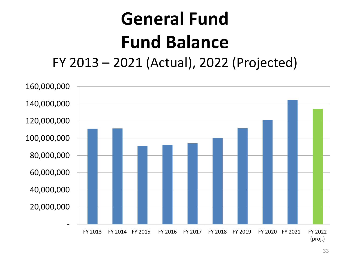### **General Fund Fund Balance** FY 2013 – 2021 (Actual), 2022 (Projected)

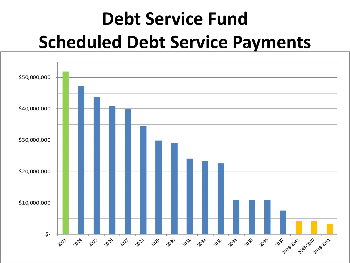### **Debt Service Fund Scheduled Debt Service Payments**

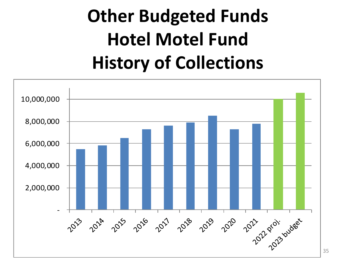### **Other Budgeted Funds Hotel Motel Fund History of Collections**

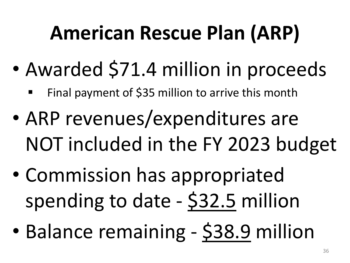## **American Rescue Plan (ARP)**

- Awarded \$71.4 million in proceeds
	- Final payment of \$35 million to arrive this month
- ARP revenues/expenditures are NOT included in the FY 2023 budget
- Commission has appropriated spending to date - \$32.5 million
- Balance remaining \$38.9 million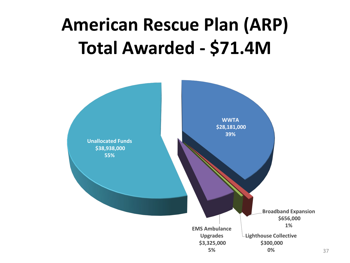### **American Rescue Plan (ARP) Total Awarded - \$71.4M**

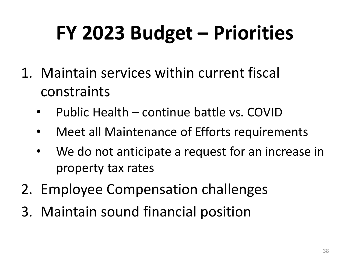# **FY 2023 Budget – Priorities**

- 1. Maintain services within current fiscal constraints
	- Public Health continue battle vs. COVID
	- Meet all Maintenance of Efforts requirements
	- We do not anticipate a request for an increase in property tax rates
- 2. Employee Compensation challenges
- 3. Maintain sound financial position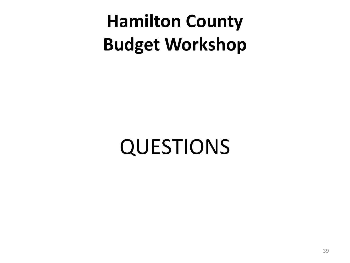**Hamilton County Budget Workshop**

QUESTIONS